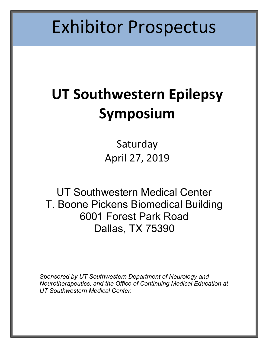# Exhibitor Prospectus

# UT Southwestern Epilepsy Symposium

Saturday April 27, 2019

UT Southwestern Medical Center T. Boone Pickens Biomedical Building 6001 Forest Park Road Dallas, TX 75390

Sponsored by UT Southwestern Department of Neurology and Neurotherapeutics, and the Office of Continuing Medical Education at UT Southwestern Medical Center.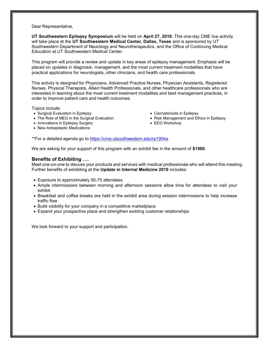Dear Representative,

UT Southwestern Epilepsy Symposium will be held on April 27, 2019. This one-day CME live activity will take place at the UT Southwestern Medical Center, Dallas, Texas and is sponsored by UT Southwestern Department of Neurology and Neurotherapeutics, and the Office of Continuing Medical Education at UT Southwestern Medical Center.

This program will provide a review and update in key areas of epilepsy management. Emphasis will be placed on updates in diagnosis, management, and the most current treatment modalities that have practical applications for neurologists, other clinicians, and health care professionals.

This activity is designed for Physicians, Advanced Practice Nurses, Physician Assistants, Registered Nurses, Physical Therapists, Allied Health Professionals, and other healthcare professionals who are interested in learning about the most current treatment modalities and best management practices, in order to improve patient care and health outcomes.

Topics include:

- Surgical Evaluation in Epilepsy
- The Role of MEG in the Surgical Evaluation
- Innovations in Epilepsy Surgery
- New Antiepileptic Medications
- Cannabinoids in Epilepsy
- Risk Management and Ethics in Epilepsy
- EEG Workshop

\*\*For a detailed agenda go to https://cme.utsouthwestern.edu/rp1904a

We are asking for your support of this program with an exhibit fee in the amount of \$1500.

#### Benefits of Exhibiting ….

Meet one-on-one to discuss your products and services with medical professionals who will attend this meeting. Further benefits of exhibiting at the Update in Internal Medicine 2019 includes:

- Exposure to approximately 50-75 attendees.
- Ample intermissions between morning and afternoon sessions allow time for attendees to visit your exhibit
- Breakfast and coffee breaks are held in the exhibit area during session intermissions to help increase traffic flow
- Build visibility for your company in a competitive marketplace
- Expand your prospective place and strengthen existing customer relationships

We look forward to your support and participation.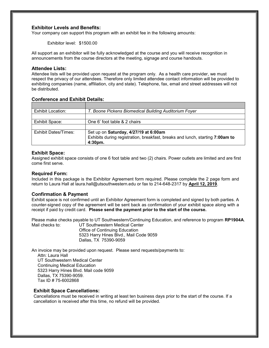# Exhibitor Levels and Benefits:

Your company can support this program with an exhibit fee in the following amounts:

Exhibitor level: \$1500.00

All support as an exhibitor will be fully acknowledged at the course and you will receive recognition in announcements from the course directors at the meeting, signage and course handouts.

### Attendee Lists:

Attendee lists will be provided upon request at the program only. As a health care provider, we must respect the privacy of our attendees. Therefore only limited attendee contact information will be provided to exhibiting companies (name, affiliation, city and state). Telephone, fax, email and street addresses will not be distributed.

# Conference and Exhibit Details:

| Exhibit Location:    | T. Boone Pickens Biomedical Building Auditorium Foyer                         |
|----------------------|-------------------------------------------------------------------------------|
|                      |                                                                               |
| Exhibit Space:       | One 6' foot table & 2 chairs                                                  |
|                      |                                                                               |
| Exhibit Dates/Times: | Set up on Saturday, 4/27/19 at 6:00am                                         |
|                      | Exhibits during registration, breakfast, breaks and lunch, starting 7:00am to |
|                      | $4:30pm$ .                                                                    |

# Exhibit Space:

Assigned exhibit space consists of one 6 foot table and two (2) chairs. Power outlets are limited and are first come first serve.

### Required Form:

Included in this package is the Exhibitor Agreement form required. Please complete the 2 page form and return to Laura Hall at laura.hall@utsouthwestern.edu or fax to 214-648-2317 by April 12, 2019.

# Confirmation & Payment

Exhibit space is not confirmed until an Exhibitor Agreement form is completed and signed by both parties. A counter-signed copy of the agreement will be sent back as confirmation of your exhibit space along with a receipt if paid by credit card. Please send the payment prior to the start of the course.

Please make checks payable to UT Southwestern/Continuing Education, and reference to program RP1904A. Mail checks to: UT Southwestern Medical Center

Office of Continuing Education 5323 Harry Hines Blvd., Mail Code 9059 Dallas, TX 75390-9059

An invoice may be provided upon request. Please send requests/payments to:

Attn: Laura Hall

 UT Southwestern Medical Center Continuing Medical Education 5323 Harry Hines Blvd. Mail code 9059 Dallas, TX 75390-9059. Tax ID # 75-6002868

# Exhibit Space Cancellations:

Cancellations must be received in writing at least ten business days prior to the start of the course. If a cancellation is received after this time, no refund will be provided.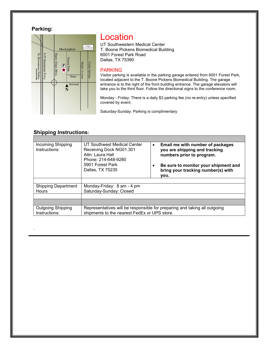# Parking:



# Location

UT Southwestern Medical Center T. Boone Pickens Biomedical Building 6001 Forest Park Road Dallas, TX 75390

# PARKING

Visitor parking is available in the parking garage entered from 6001 Forest Park, located adjacent to the T. Boone Pickens Biomedical Building. The garage entrance is to the right of the front building entrance. The garage elevators will take you to the third floor. Follow the directional signs to the conference room.

Monday - Friday: There is a daily \$3 parking fee (no re-entry) unless specified covered by event.

Saturday-Sunday: Parking is complimentary

# Shipping Instructions:

.

| Incoming Shipping<br>Instructions:        | UT Southwest Medical Center<br>Receiving Dock NG01.301<br>Attn: Laura Hall<br>Phone: 214-648-9280<br>5901 Forest Park<br>Dallas, TX 75235 | Email me with number of packages<br>$\bullet$<br>you are shipping and tracking<br>numbers prior to program.<br>Be sure to monitor your shipment and<br>bring your tracking number(s) with<br>vou. |  |
|-------------------------------------------|-------------------------------------------------------------------------------------------------------------------------------------------|---------------------------------------------------------------------------------------------------------------------------------------------------------------------------------------------------|--|
|                                           |                                                                                                                                           |                                                                                                                                                                                                   |  |
| <b>Shipping Department</b>                | Monday-Friday: 8 am - 4 pm                                                                                                                |                                                                                                                                                                                                   |  |
| <b>Hours</b>                              | Saturday-Sunday: Closed                                                                                                                   |                                                                                                                                                                                                   |  |
|                                           |                                                                                                                                           |                                                                                                                                                                                                   |  |
|                                           |                                                                                                                                           |                                                                                                                                                                                                   |  |
| <b>Outgoing Shipping</b><br>Instructions: | Representatives will be responsible for preparing and taking all outgoing<br>shipments to the nearest FedEx or UPS store.                 |                                                                                                                                                                                                   |  |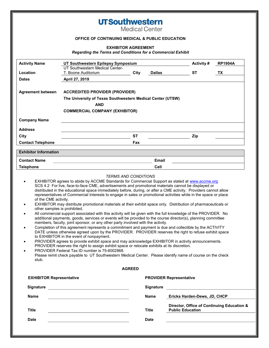# **UTSouthwestern**

**Medical Center** 

# OFFICE OF CONTINUING MEDICAL & PUBLIC EDUCATION

#### EXHIBITOR AGREEMENT

#### Regarding the Terms and Conditions for a Commercial Exhibit

| <b>Activity Name</b>         | UT Southwestern Epilepsy Symposium                                                                                                                         |           |               | <b>Activity#</b> | <b>RP1904A</b> |
|------------------------------|------------------------------------------------------------------------------------------------------------------------------------------------------------|-----------|---------------|------------------|----------------|
| Location                     | UT Southwestern Medical Center-<br>T. Boone Auditorium                                                                                                     | City      | <b>Dallas</b> | <b>ST</b>        | TX             |
| <b>Dates</b>                 | April 27, 2019                                                                                                                                             |           |               |                  |                |
| <b>Agreement between</b>     | <b>ACCREDITED PROVIDER (PROVIDER)</b><br>The University of Texas Southwestern Medical Center (UTSW)<br><b>AND</b><br><b>COMMERCIAL COMPANY (EXHIBITOR)</b> |           |               |                  |                |
| <b>Company Name</b>          |                                                                                                                                                            |           |               |                  |                |
| <b>Address</b>               |                                                                                                                                                            |           |               |                  |                |
| City                         |                                                                                                                                                            | <b>ST</b> |               | Zip              |                |
| <b>Contact Telephone</b>     |                                                                                                                                                            | Fax       |               |                  |                |
| <b>Exhibitor Information</b> |                                                                                                                                                            |           |               |                  |                |
| <b>Contact Name</b>          |                                                                                                                                                            |           | <b>Email</b>  |                  |                |
| <b>Telephone</b>             |                                                                                                                                                            |           | Cell          |                  |                |

#### TERMS AND CONDITIONS

- EXHIBITOR agrees to abide by ACCME Standards for Commercial Support as stated at www.accme.org SCS 4.2 For live, face-to-face CME, advertisements and promotional materials cannot be displayed or distributed in the educational space immediately before, during, or after a CME activity. Providers cannot allow representatives of Commercial Interests to engage in sales or promotional activities while in the space or place of the CME activity.
- EXHIBITOR may distribute promotional materials at their exhibit space only. Distribution of pharmaceuticals or other samples is prohibited.
- All commercial support associated with this activity will be given with the full knowledge of the PROVIDER. No additional payments, goods, services or events will be provided to the course director(s), planning committee members, faculty, joint sponsor, or any other party involved with the activity.
- Completion of this agreement represents a commitment and payment is due and collectible by the ACTIVITY DATE unless otherwise agreed upon by the PROVIDER. PROVIDER reserves the right to refuse exhibit space to EXHIBITOR in the event of nonpayment.
- PROVIDER agrees to provide exhibit space and may acknowledge EXHIBITOR in activity announcements. PROVIDER reserves the right to assign exhibit space or relocate exhibits at its discretion.
- PROVIDER Federal Tax ID number is 75-6002868. Please remit check payable to UT Southwestern Medical Center. Please identify name of course on the check stub.

| AGREI<br>ᅳ<br>г |
|-----------------|
|-----------------|

| <b>EXHIBITOR Representative</b> |                             | <b>PROVIDER Representative</b>                                        |  |  |
|---------------------------------|-----------------------------|-----------------------------------------------------------------------|--|--|
| <b>Signature</b>                | <b>Signature</b>            |                                                                       |  |  |
| <b>Name</b>                     | <b>Name</b>                 | Ericka Harden-Dews, JD, CHCP                                          |  |  |
| <b>Title</b><br><b>Date</b>     | <b>Title</b><br><b>Date</b> | Director, Office of Continuing Education &<br><b>Public Education</b> |  |  |
|                                 |                             |                                                                       |  |  |